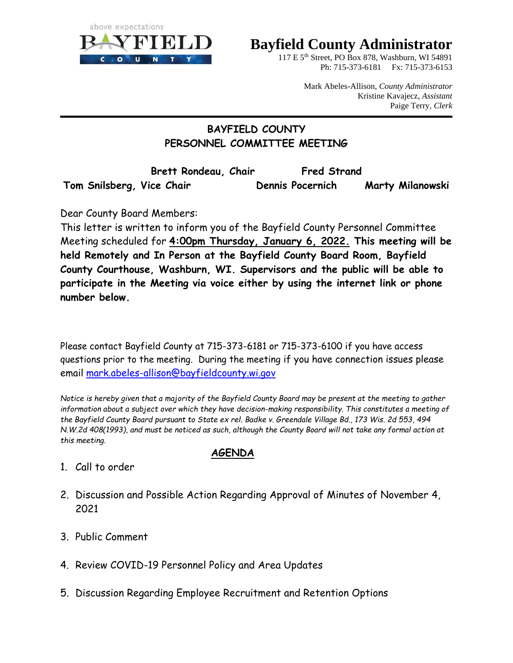

## **Bayfield County Administrator**

117 E 5th Street, PO Box 878, Washburn, WI 54891 Ph: 715-373-6181 Fx: 715-373-6153

> Mark Abeles-Allison, *County Administrator*  Kristine Kavajecz, *Assistant* Paige Terry, *Clerk*

#### **BAYFIELD COUNTY PERSONNEL COMMITTEE MEETING**

**Brett Rondeau, Chair Fred Strand Tom Snilsberg, Vice Chair Dennis Pocernich Marty Milanowski**

Dear County Board Members:

This letter is written to inform you of the Bayfield County Personnel Committee Meeting scheduled for **4:00pm Thursday, January 6, 2022. This meeting will be held Remotely and In Person at the Bayfield County Board Room, Bayfield County Courthouse, Washburn, WI. Supervisors and the public will be able to participate in the Meeting via voice either by using the internet link or phone number below.** 

Please contact Bayfield County at 715-373-6181 or 715-373-6100 if you have access questions prior to the meeting. During the meeting if you have connection issues please email [mark.abeles-allison@bayfieldcounty.wi.gov](mailto:mark.abeles-allison@bayfieldcounty.wi.gov)

*Notice is hereby given that a majority of the Bayfield County Board may be present at the meeting to gather information about a subject over which they have decision-making responsibility. This constitutes a meeting of the Bayfield County Board pursuant to State ex rel. Badke v. Greendale Village Bd., 173 Wis. 2d 553, 494 N.W.2d 408(1993), and must be noticed as such, although the County Board will not take any formal action at this meeting.*

#### **AGENDA**

- 1. Call to order
- 2. Discussion and Possible Action Regarding Approval of Minutes of November 4, 2021
- 3. Public Comment
- 4. Review COVID-19 Personnel Policy and Area Updates
- 5. Discussion Regarding Employee Recruitment and Retention Options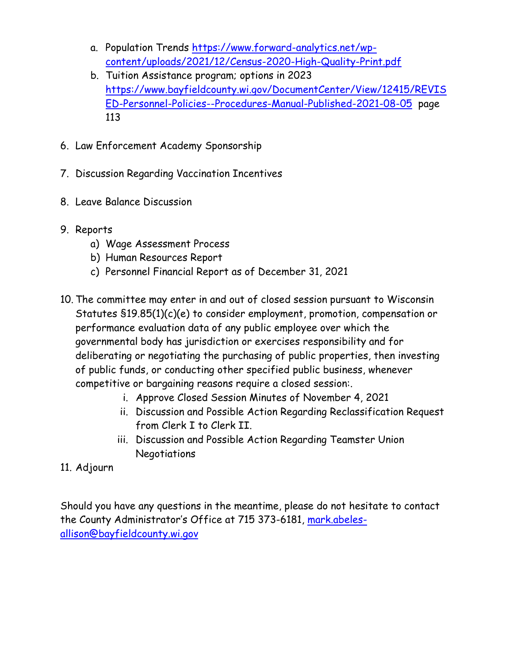- a. Population Trends [https://www.forward-analytics.net/wp](https://www.forward-analytics.net/wp-content/uploads/2021/12/Census-2020-High-Quality-Print.pdf)[content/uploads/2021/12/Census-2020-High-Quality-Print.pdf](https://www.forward-analytics.net/wp-content/uploads/2021/12/Census-2020-High-Quality-Print.pdf)
- b. Tuition Assistance program; options in 2023 [https://www.bayfieldcounty.wi.gov/DocumentCenter/View/12415/REVIS](https://www.bayfieldcounty.wi.gov/DocumentCenter/View/12415/REVISED-Personnel-Policies--Procedures-Manual-Published-2021-08-05) [ED-Personnel-Policies--Procedures-Manual-Published-2021-08-05](https://www.bayfieldcounty.wi.gov/DocumentCenter/View/12415/REVISED-Personnel-Policies--Procedures-Manual-Published-2021-08-05) page 113
- 6. Law Enforcement Academy Sponsorship
- 7. Discussion Regarding Vaccination Incentives
- 8. Leave Balance Discussion
- 9. Reports
	- a) Wage Assessment Process
	- b) Human Resources Report
	- c) Personnel Financial Report as of December 31, 2021
- 10. The committee may enter in and out of closed session pursuant to Wisconsin Statutes §19.85(1)(c)(e) to consider employment, promotion, compensation or performance evaluation data of any public employee over which the governmental body has jurisdiction or exercises responsibility and for deliberating or negotiating the purchasing of public properties, then investing of public funds, or conducting other specified public business, whenever competitive or bargaining reasons require a closed session:.
	- i. Approve Closed Session Minutes of November 4, 2021
	- ii. Discussion and Possible Action Regarding Reclassification Request from Clerk I to Clerk II.
	- iii. Discussion and Possible Action Regarding Teamster Union Negotiations
- 11. Adjourn

Should you have any questions in the meantime, please do not hesitate to contact the County Administrator's Office at 715 373-6181, [mark.abeles](mailto:mark.abeles-allison@bayfieldcounty.wi.gov)[allison@bayfieldcounty.wi.gov](mailto:mark.abeles-allison@bayfieldcounty.wi.gov)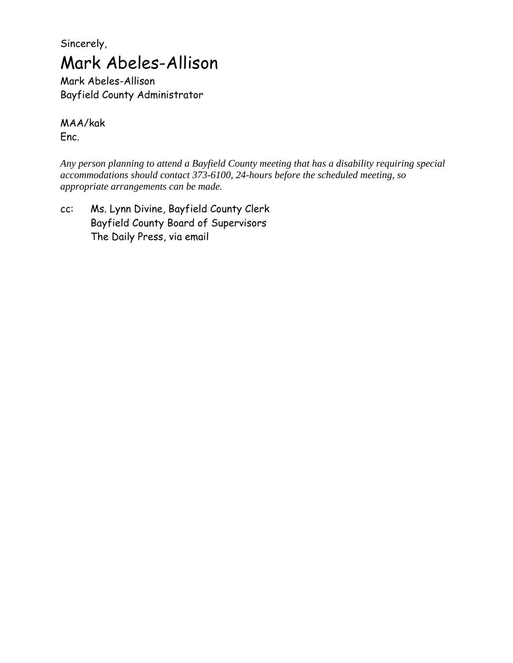## Sincerely, Mark Abeles-Allison

Mark Abeles-Allison Bayfield County Administrator

MAA/kak

Enc.

*Any person planning to attend a Bayfield County meeting that has a disability requiring special accommodations should contact 373-6100, 24-hours before the scheduled meeting, so appropriate arrangements can be made.*

cc: Ms. Lynn Divine, Bayfield County Clerk Bayfield County Board of Supervisors The Daily Press, via email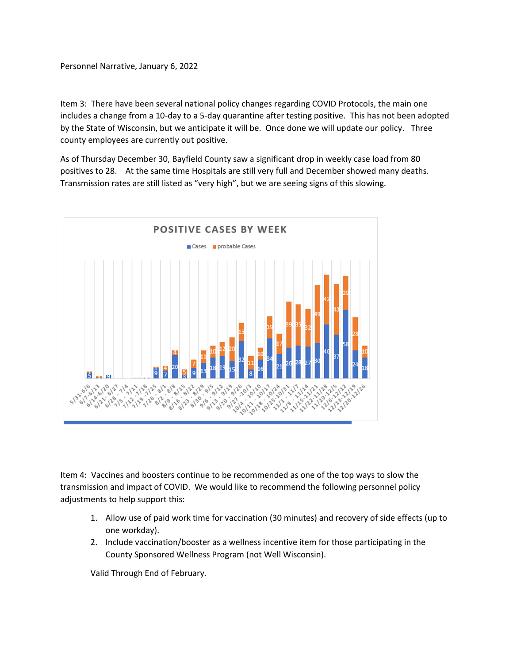Personnel Narrative, January 6, 2022

Item 3: There have been several national policy changes regarding COVID Protocols, the main one includes a change from a 10-day to a 5-day quarantine after testing positive. This has not been adopted by the State of Wisconsin, but we anticipate it will be. Once done we will update our policy. Three county employees are currently out positive.

As of Thursday December 30, Bayfield County saw a significant drop in weekly case load from 80 positives to 28. At the same time Hospitals are still very full and December showed many deaths. Transmission rates are still listed as "very high", but we are seeing signs of this slowing.



Item 4: Vaccines and boosters continue to be recommended as one of the top ways to slow the transmission and impact of COVID. We would like to recommend the following personnel policy adjustments to help support this:

- 1. Allow use of paid work time for vaccination (30 minutes) and recovery of side effects (up to one workday).
- 2. Include vaccination/booster as a wellness incentive item for those participating in the County Sponsored Wellness Program (not Well Wisconsin).

Valid Through End of February.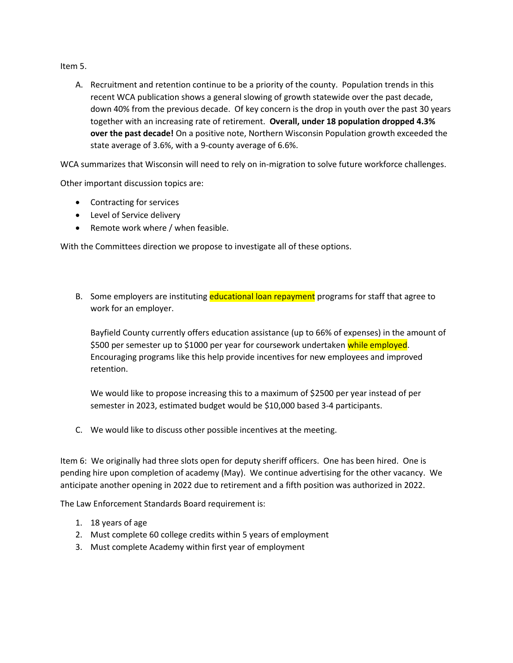Item 5.

A. Recruitment and retention continue to be a priority of the county. Population trends in this recent WCA publication shows a general slowing of growth statewide over the past decade, down 40% from the previous decade. Of key concern is the drop in youth over the past 30 years together with an increasing rate of retirement. **Overall, under 18 population dropped 4.3% over the past decade!** On a positive note, Northern Wisconsin Population growth exceeded the state average of 3.6%, with a 9-county average of 6.6%.

WCA summarizes that Wisconsin will need to rely on in-migration to solve future workforce challenges.

Other important discussion topics are:

- Contracting for services
- Level of Service delivery
- Remote work where / when feasible.

With the Committees direction we propose to investigate all of these options.

B. Some employers are instituting educational loan repayment programs for staff that agree to work for an employer.

Bayfield County currently offers education assistance (up to 66% of expenses) in the amount of \$500 per semester up to \$1000 per year for coursework undertaken while employed. Encouraging programs like this help provide incentives for new employees and improved retention.

We would like to propose increasing this to a maximum of \$2500 per year instead of per semester in 2023, estimated budget would be \$10,000 based 3-4 participants.

C. We would like to discuss other possible incentives at the meeting.

Item 6: We originally had three slots open for deputy sheriff officers. One has been hired. One is pending hire upon completion of academy (May). We continue advertising for the other vacancy. We anticipate another opening in 2022 due to retirement and a fifth position was authorized in 2022.

The Law Enforcement Standards Board requirement is:

- 1. 18 years of age
- 2. Must complete 60 college credits within 5 years of employment
- 3. Must complete Academy within first year of employment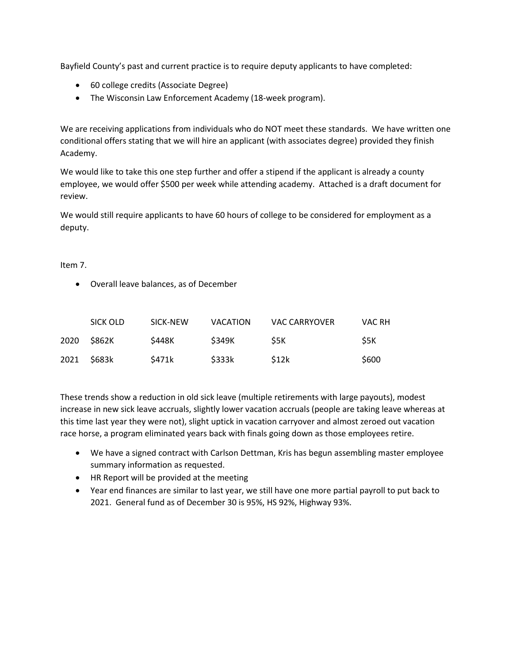Bayfield County's past and current practice is to require deputy applicants to have completed:

- 60 college credits (Associate Degree)
- The Wisconsin Law Enforcement Academy (18-week program).

We are receiving applications from individuals who do NOT meet these standards. We have written one conditional offers stating that we will hire an applicant (with associates degree) provided they finish Academy.

We would like to take this one step further and offer a stipend if the applicant is already a county employee, we would offer \$500 per week while attending academy. Attached is a draft document for review.

We would still require applicants to have 60 hours of college to be considered for employment as a deputy.

#### Item 7.

• Overall leave balances, as of December

|      | SICK OLD | SICK-NEW | VACATION     | <b>VAC CARRYOVER</b> | VAC RH |
|------|----------|----------|--------------|----------------------|--------|
| 2020 | S862K    | \$448K   | <b>S349K</b> | S5K                  | S5K    |
| 2021 | \$683k   | \$471k   | \$333k       | \$12k                | \$600  |

These trends show a reduction in old sick leave (multiple retirements with large payouts), modest increase in new sick leave accruals, slightly lower vacation accruals (people are taking leave whereas at this time last year they were not), slight uptick in vacation carryover and almost zeroed out vacation race horse, a program eliminated years back with finals going down as those employees retire.

- We have a signed contract with Carlson Dettman, Kris has begun assembling master employee summary information as requested.
- HR Report will be provided at the meeting
- Year end finances are similar to last year, we still have one more partial payroll to put back to 2021. General fund as of December 30 is 95%, HS 92%, Highway 93%.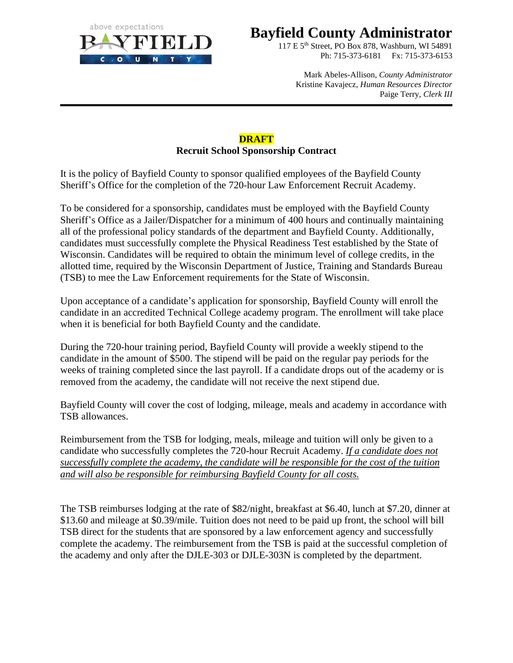

### **Bayfield County Administrator**

117 E 5th Street, PO Box 878, Washburn, WI 54891 Ph: 715-373-6181 Fx: 715-373-6153

Mark Abeles-Allison, *County Administrator*  Kristine Kavajecz, *Human Resources Director* Paige Terry, *Clerk III*

#### **DRAFT Recruit School Sponsorship Contract**

It is the policy of Bayfield County to sponsor qualified employees of the Bayfield County Sheriff's Office for the completion of the 720-hour Law Enforcement Recruit Academy.

To be considered for a sponsorship, candidates must be employed with the Bayfield County Sheriff's Office as a Jailer/Dispatcher for a minimum of 400 hours and continually maintaining all of the professional policy standards of the department and Bayfield County. Additionally, candidates must successfully complete the Physical Readiness Test established by the State of Wisconsin. Candidates will be required to obtain the minimum level of college credits, in the allotted time, required by the Wisconsin Department of Justice, Training and Standards Bureau (TSB) to mee the Law Enforcement requirements for the State of Wisconsin.

Upon acceptance of a candidate's application for sponsorship, Bayfield County will enroll the candidate in an accredited Technical College academy program. The enrollment will take place when it is beneficial for both Bayfield County and the candidate.

During the 720-hour training period, Bayfield County will provide a weekly stipend to the candidate in the amount of \$500. The stipend will be paid on the regular pay periods for the weeks of training completed since the last payroll. If a candidate drops out of the academy or is removed from the academy, the candidate will not receive the next stipend due.

Bayfield County will cover the cost of lodging, mileage, meals and academy in accordance with TSB allowances.

Reimbursement from the TSB for lodging, meals, mileage and tuition will only be given to a candidate who successfully completes the 720-hour Recruit Academy. *If a candidate does not successfully complete the academy, the candidate will be responsible for the cost of the tuition and will also be responsible for reimbursing Bayfield County for all costs.*

The TSB reimburses lodging at the rate of \$82/night, breakfast at \$6.40, lunch at \$7.20, dinner at \$13.60 and mileage at \$0.39/mile. Tuition does not need to be paid up front, the school will bill TSB direct for the students that are sponsored by a law enforcement agency and successfully complete the academy. The reimbursement from the TSB is paid at the successful completion of the academy and only after the DJLE-303 or DJLE-303N is completed by the department.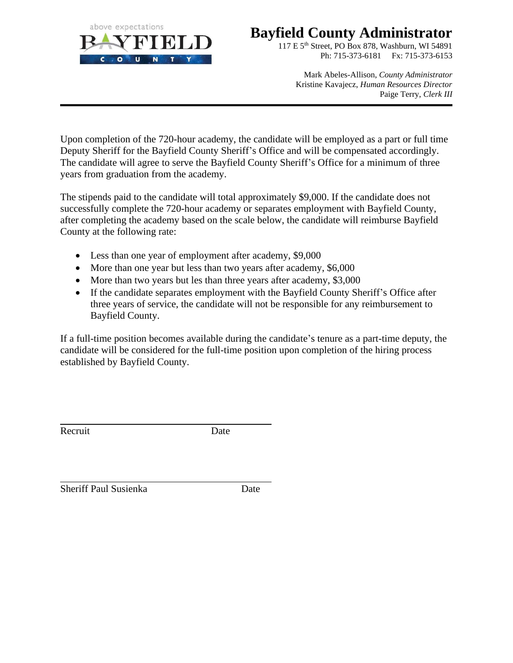

### **Bayfield County Administrator**

117 E 5th Street, PO Box 878, Washburn, WI 54891 Ph: 715-373-6181 Fx: 715-373-6153

Mark Abeles-Allison, *County Administrator*  Kristine Kavajecz, *Human Resources Director* Paige Terry, *Clerk III*

Upon completion of the 720-hour academy, the candidate will be employed as a part or full time Deputy Sheriff for the Bayfield County Sheriff's Office and will be compensated accordingly. The candidate will agree to serve the Bayfield County Sheriff's Office for a minimum of three years from graduation from the academy.

The stipends paid to the candidate will total approximately \$9,000. If the candidate does not successfully complete the 720-hour academy or separates employment with Bayfield County, after completing the academy based on the scale below, the candidate will reimburse Bayfield County at the following rate:

- Less than one year of employment after academy, \$9,000
- More than one year but less than two years after academy, \$6,000
- More than two years but les than three years after academy, \$3,000
- If the candidate separates employment with the Bayfield County Sheriff's Office after three years of service, the candidate will not be responsible for any reimbursement to Bayfield County.

If a full-time position becomes available during the candidate's tenure as a part-time deputy, the candidate will be considered for the full-time position upon completion of the hiring process established by Bayfield County.

Recruit Date

Sheriff Paul Susienka Date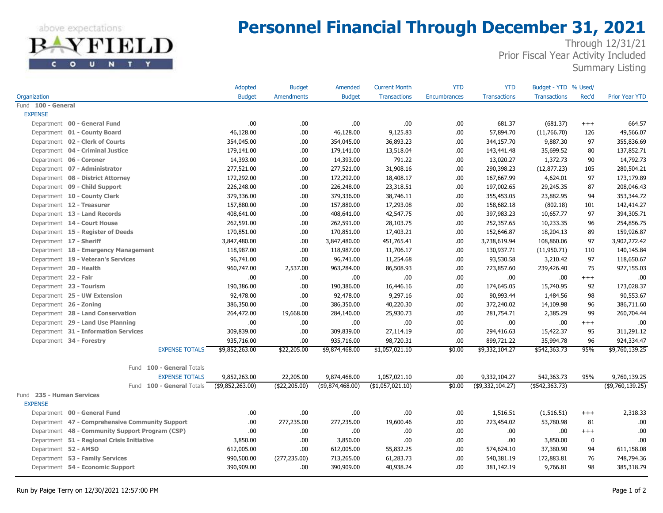above expectations FIELD

c

O U N T Y

## **Personnel Financial Through December 31, 2021**

Through 12/31/21 Prior Fiscal Year Activity Included Summary Listing

|                                                 | Adopted          | <b>Budget</b>     | Amended          | <b>Current Month</b> | <b>YTD</b>          | <b>YTD</b>          | Budget - YTD % Used/ |          |                       |
|-------------------------------------------------|------------------|-------------------|------------------|----------------------|---------------------|---------------------|----------------------|----------|-----------------------|
| Organization                                    | <b>Budget</b>    | <b>Amendments</b> | <b>Budget</b>    | <b>Transactions</b>  | <b>Encumbrances</b> | <b>Transactions</b> | <b>Transactions</b>  | Rec'd    | <b>Prior Year YTD</b> |
| Fund 100 - General                              |                  |                   |                  |                      |                     |                     |                      |          |                       |
| <b>EXPENSE</b>                                  |                  |                   |                  |                      |                     |                     |                      |          |                       |
| Department 00 - General Fund                    | .00.             | .00               | .00.             | .00.                 | .00                 | 681.37              | (681.37)             | $^{+++}$ | 664.57                |
| Department 01 - County Board                    | 46,128.00        | .00               | 46,128.00        | 9,125.83             | .00                 | 57,894.70           | (11,766.70)          | 126      | 49,566.07             |
| Department 02 - Clerk of Courts                 | 354,045.00       | .00               | 354,045.00       | 36,893.23            | .00                 | 344,157.70          | 9,887.30             | 97       | 355,836.69            |
| Department 04 - Criminal Justice                | 179,141.00       | .00               | 179,141.00       | 13,518.04            | .00.                | 143,441.48          | 35,699.52            | 80       | 137,852.71            |
| Department 06 - Coroner                         | 14,393.00        | .00               | 14,393.00        | 791.22               | .00.                | 13,020.27           | 1,372.73             | 90       | 14,792.73             |
| Department 07 - Administrator                   | 277,521.00       | .00               | 277,521.00       | 31,908.16            | .00                 | 290,398.23          | (12, 877.23)         | 105      | 280,504.21            |
| Department 08 - District Attorney               | 172,292.00       | .00               | 172,292.00       | 18,408.17            | .00.                | 167,667.99          | 4,624.01             | 97       | 173,179.89            |
| Department 09 - Child Support                   | 226,248.00       | .00               | 226,248.00       | 23,318.51            | .00.                | 197,002.65          | 29,245.35            | 87       | 208,046.43            |
| Department 10 - County Clerk                    | 379,336.00       | .00               | 379,336.00       | 38,746.11            | .00                 | 355,453.05          | 23,882.95            | 94       | 353,344.72            |
| Department 12 - Treasurer                       | 157,880.00       | .00               | 157,880.00       | 17,293.08            | .00                 | 158,682.18          | (802.18)             | 101      | 142,414.27            |
| Department 13 - Land Records                    | 408,641.00       | .00               | 408,641.00       | 42,547.75            | .00.                | 397,983.23          | 10,657.77            | 97       | 394,305.71            |
| Department 14 - Court House                     | 262,591.00       | .00               | 262,591.00       | 28,103.75            | .00.                | 252,357.65          | 10,233.35            | 96       | 254,856.75            |
| Department 15 - Register of Deeds               | 170,851.00       | .00               | 170,851.00       | 17,403.21            | .00.                | 152,646.87          | 18,204.13            | 89       | 159,926.87            |
| Department 17 - Sheriff                         | 3,847,480.00     | .00               | 3,847,480.00     | 451,765.41           | .00                 | 3,738,619.94        | 108,860.06           | 97       | 3,902,272.42          |
| Department 18 - Emergency Management            | 118,987.00       | .00               | 118,987.00       | 11,706.17            | .00.                | 130,937.71          | (11,950.71)          | 110      | 140,145.84            |
| Department 19 - Veteran's Services              | 96,741.00        | .00               | 96,741.00        | 11,254.68            | .00.                | 93,530.58           | 3,210.42             | 97       | 118,650.67            |
| Department 20 - Health                          | 960,747.00       | 2,537.00          | 963,284.00       | 86,508.93            | .00.                | 723,857.60          | 239,426.40           | 75       | 927,155.03            |
| Department 22 - Fair                            | .00.             | .00               | .00.             | .00.                 | .00                 | .00                 | .00                  | $^{+++}$ | .00                   |
| Department 23 - Tourism                         | 190,386.00       | .00               | 190,386.00       | 16,446.16            | .00.                | 174,645.05          | 15,740.95            | 92       | 173,028.37            |
| Department 25 - UW Extension                    | 92,478.00        | .00               | 92,478.00        | 9,297.16             | .00.                | 90,993.44           | 1,484.56             | 98       | 90,553.67             |
| Department 26 - Zoning                          | 386,350.00       | .00               | 386,350.00       | 40,220.30            | .00.                | 372,240.02          | 14,109.98            | 96       | 386,711.60            |
| Department 28 - Land Conservation               | 264,472.00       | 19,668.00         | 284,140.00       | 25,930.73            | .00.                | 281,754.71          | 2,385.29             | 99       | 260,704.44            |
| Department 29 - Land Use Planning               | .00.             | .00               | .00.             | .00.                 | .00.                | .00                 | .00                  | $^{+++}$ | .00                   |
| Department 31 - Information Services            | 309,839.00       | .00               | 309,839.00       | 27,114.19            | .00                 | 294,416.63          | 15,422.37            | 95       | 311,291.12            |
| Department 34 - Forestry                        | 935,716.00       | .00               | 935,716.00       | 98,720.31            | .00                 | 899,721.22          | 35,994.78            | 96       | 924,334.47            |
| <b>EXPENSE TOTALS</b>                           | \$9,852,263.00   | \$22,205.00       | \$9,874,468.00   | \$1,057,021.10       | \$0.00              | \$9,332,104.27      | \$542,363.73         | 95%      | \$9,760,139.25        |
| Fund 100 - General Totals                       |                  |                   |                  |                      |                     |                     |                      |          |                       |
| <b>EXPENSE TOTALS</b>                           | 9,852,263.00     | 22,205.00         | 9,874,468.00     | 1,057,021.10         | .00                 | 9,332,104.27        | 542,363.73           | 95%      | 9,760,139.25          |
| Fund 100 - General Totals                       | (\$9,852,263.00) | (\$22,205.00)     | (\$9,874,468.00) | (\$1,057,021.10)     | \$0.00              | (\$9,332,104.27)    | $(*542,363.73)$      |          | (\$9,760,139.25)      |
| Fund 235 - Human Services                       |                  |                   |                  |                      |                     |                     |                      |          |                       |
| <b>EXPENSE</b>                                  |                  |                   |                  |                      |                     |                     |                      |          |                       |
| Department 00 - General Fund                    | .00.             | .00               | .00.             | .00.                 | .00.                | 1,516.51            | (1, 516.51)          | $^{+++}$ | 2,318.33              |
| Department 47 - Comprehensive Community Support | .00.             | 277,235.00        | 277,235.00       | 19,600.46            | .00                 | 223,454.02          | 53,780.98            | 81       | .00.                  |
| Department 48 - Community Support Program (CSP) | .00.             | .00.              | .00              | .00.                 | .00.                | .00.                | .00                  | $^{+++}$ | .00                   |
| Department 51 - Regional Crisis Initiative      | 3,850.00         | .00               | 3,850.00         | .00.                 | .00.                | .00.                | 3,850.00             | 0        | .00                   |
| Department 52 - AMSO                            | 612,005.00       | .00               | 612,005.00       | 55,832.25            | .00.                | 574,624.10          | 37,380.90            | 94       | 611,158.08            |
| Department 53 - Family Services                 | 990,500.00       | (277, 235.00)     | 713,265.00       | 61,283.73            | .00.                | 540,381.19          | 172,883.81           | 76       | 748,794.36            |
| Department 54 - Economic Support                | 390,909.00       | .00               | 390,909.00       | 40,938.24            | .00.                | 381,142.19          | 9,766.81             | 98       | 385,318.79            |
|                                                 |                  |                   |                  |                      |                     |                     |                      |          |                       |